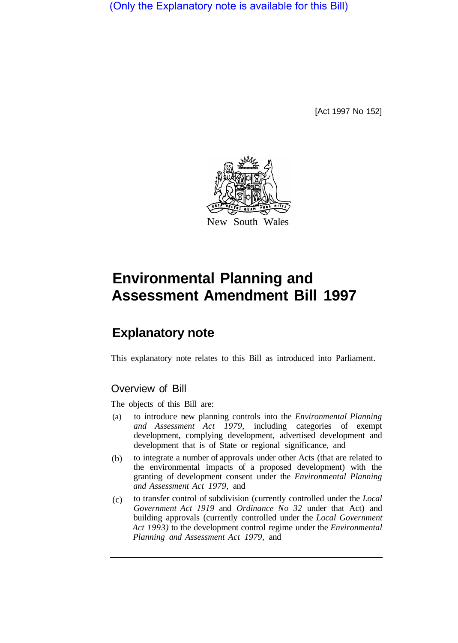(Only the Explanatory note is available for this Bill)

[Act 1997 No 152]



# **Environmental Planning and Assessment Amendment Bill 1997**

## **Explanatory note**

This explanatory note relates to this Bill as introduced into Parliament.

## Overview of Bill

The objects of this Bill are:

- to introduce new planning controls into the *Environmental Planning and Assessment Act 1979,* including categories of exempt development, complying development, advertised development and development that is of State or regional significance, and (a)
- to integrate a number of approvals under other Acts (that are related to the environmental impacts of a proposed development) with the granting of development consent under the *Environmental Planning and Assessment Act 1979,* and (b)
- to transfer control of subdivision (currently controlled under the *Local Government Act 1919* and *Ordinance No 32* under that Act) and building approvals (currently controlled under the *Local Government Act 1993)* to the development control regime under the *Environmental Planning and Assessment Act 1979,* and  $(c)$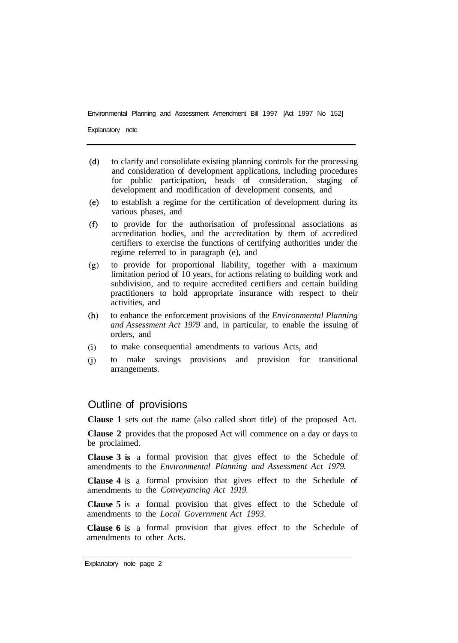Explanatory note

- $(d)$ to clarify and consolidate existing planning controls for the processing and consideration of development applications, including procedures for public participation, heads of consideration, staging of development and modification of development consents, and
- to establish a regime for the certification of development during its  $(e)$ various phases, and
- to provide for the authorisation of professional associations as  $(f)$ accreditation bodies, and the accreditation by them of accredited certifiers to exercise the functions of certifying authorities under the regime referred to in paragraph (e), and
- to provide for proportional liability, together with a maximum  $(g)$ limitation period of 10 years, for actions relating to building work and subdivision, and to require accredited certifiers and certain building practitioners to hold appropriate insurance with respect to their activities, and
- to enhance the enforcement provisions of the *Environmental Planning*   $(h)$ *and Assessment Act 1979* and, in particular, to enable the issuing of orders, and
- $(i)$ to make consequential amendments to various Acts, and
- to make savings provisions and provision for transitional  $(i)$ arrangements.

## Outline of provisions

**Clause 1** sets out the name (also called short title) of the proposed Act.

**Clause 2** provides that the proposed Act will commence on a day or days to be proclaimed.

**Clause 3 is** a formal provision that gives effect to the Schedule of amendments to the *Environmental Planning and Assessment Act 1979.* 

**Clause 4** is a formal provision that gives effect to the Schedule of amendments to the *Conveyancing Act 1919.* 

**Clause 5** is a formal provision that gives effect to the Schedule of amendments to the *Local Government Act 1993.* 

**Clause 6** is a formal provision that gives effect to the Schedule of amendments to other Acts.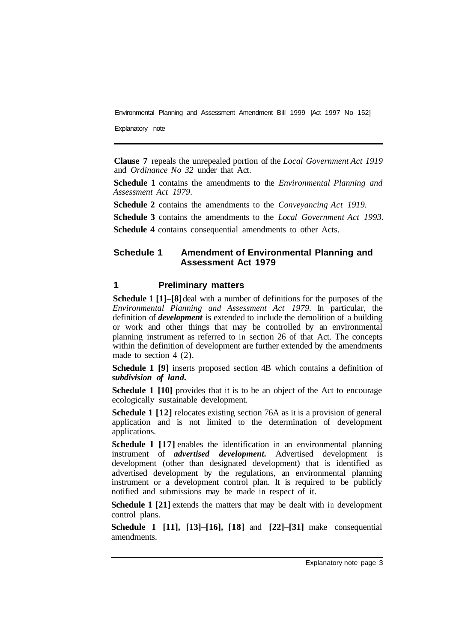Explanatory note

**Clause 7** repeals the unrepealed portion of the *Local Government Act 1919*  and *Ordinance No 32* under that Act.

**Schedule 1** contains the amendments to the *Environmental Planning and Assessment Act 1979.* 

**Schedule 2** contains the amendments to the *Conveyancing Act 1919.* 

**Schedule 3** contains the amendments to the *Local Government Act 1993.* 

**Schedule 4** contains consequential amendments to other Acts.

## **Schedule 1 Amendment of Environmental Planning and Assessment Act 1979**

#### **1 Preliminary matters**

**Schedule 1 [1]–[8]** deal with a number of definitions for the purposes of the *Environmental Planning and Assessment Act 1979.* In particular, the definition of *development* is extended to include the demolition of a building or work and other things that may be controlled by an environmental planning instrument as referred to in section 26 of that Act. The concepts within the definition of development are further extended by the amendments made to section 4 (2).

**Schedule 1 [9]** inserts proposed section 4B which contains a definition of *subdivision of land.* 

**Schedule 1 [10]** provides that it is to be an object of the Act to encourage ecologically sustainable development.

**Schedule 1 [12]** relocates existing section 76A as it is a provision of general application and is not limited to the determination of development applications.

**Schedule 1 [17] enables the identification in an environmental planning** instrument of *advertised development.* Advertised development is development (other than designated development) that is identified as advertised development by the regulations, an environmental planning instrument or a development control plan. It is required to be publicly notified and submissions may be made in respect of it.

**Schedule 1 [21]** extends the matters that may be dealt with in development control plans.

**Schedule 1 [11], [13]–[16], [18]** and **[22]–[31]** make consequential amendments.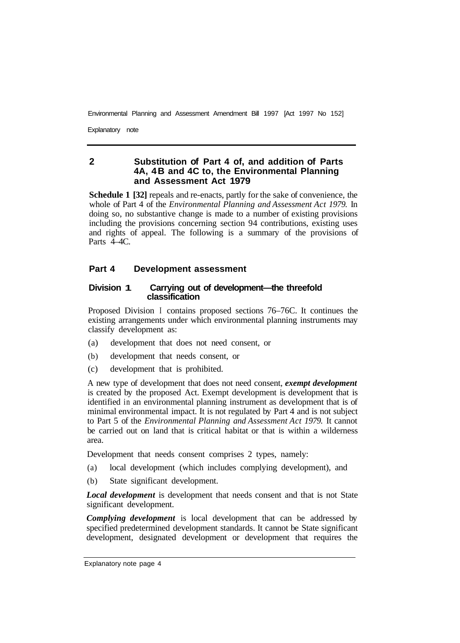Explanatory note

## **2 Substitution of Part 4 of, and addition of Parts 4A, 4B and 4C to, the Environmental Planning and Assessment Act 1979**

**Schedule 1 [32]** repeals and re-enacts, partly for the sake of convenience, the whole of Part 4 of the *Environmental Planning and Assessment Act 1979.* In doing so, no substantive change is made to a number of existing provisions including the provisions concerning section 94 contributions, existing uses and rights of appeal. The following is a summary of the provisions of Parts 4–4C.

#### **Part 4 Development assessment**

#### **Division 1 Carrying out of development—the threefold classification**

Proposed Division I contains proposed sections 76–76C. It continues the existing arrangements under which environmental planning instruments may classify development as:

- (a) development that does not need consent, or
- (b) development that needs consent, or
- (c) development that is prohibited.

A new type of development that does not need consent, *exempt development*  is created by the proposed Act. Exempt development is development that is identified in an environmental planning instrument as development that is of minimal environmental impact. It is not regulated by Part 4 and is not subject to Part 5 of the *Environmental Planning and Assessment Act 1979.* It cannot be carried out on land that is critical habitat or that is within a wilderness area.

Development that needs consent comprises 2 types, namely:

- (a) local development (which includes complying development), and
- (b) State significant development.

*Local development* is development that needs consent and that is not State significant development.

*Complying development* is local development that can be addressed by specified predetermined development standards. It cannot be State significant development, designated development or development that requires the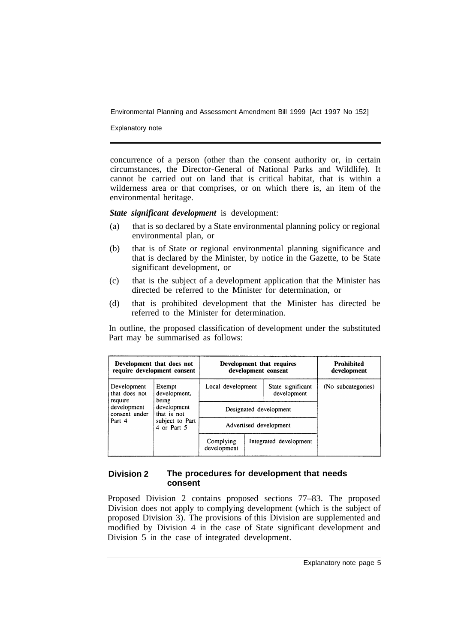Explanatory note

concurrence of a person (other than the consent authority or, in certain circumstances, the Director-General of National Parks and Wildlife). It cannot be carried out on land that is critical habitat, that is within a wilderness area or that comprises, or on which there is, an item of the environmental heritage.

*State significant development* is development:

- (a) that is so declared by a State environmental planning policy or regional environmental plan, or
- (b) that is of State or regional environmental planning significance and that is declared by the Minister, by notice in the Gazette, to be State significant development, or
- (c) that is the subject of a development application that the Minister has directed be referred to the Minister for determination, or
- (d) that is prohibited development that the Minister has directed be referred to the Minister for determination.

In outline, the proposed classification of development under the substituted Part may be summarised as follows:

| Development that does not<br>require development consent                          |                                                                                                 | Development that requires<br>development consent |  |                                  | <b>Prohibited</b><br>development |
|-----------------------------------------------------------------------------------|-------------------------------------------------------------------------------------------------|--------------------------------------------------|--|----------------------------------|----------------------------------|
| Development<br>that does not<br>require<br>development<br>consent under<br>Part 4 | Exempt<br>development,<br>being<br>development<br>that is not<br>subject to Part<br>4 or Part 5 | Local development                                |  | State significant<br>development | (No subcategories)               |
|                                                                                   |                                                                                                 | Designated development                           |  |                                  |                                  |
|                                                                                   |                                                                                                 | Advertised development                           |  |                                  |                                  |
|                                                                                   |                                                                                                 | Complying<br>development                         |  | Integrated development           |                                  |

#### **Division 2 The procedures for development that needs consent**

Proposed Division 2 contains proposed sections 77–83. The proposed Division does not apply to complying development (which is the subject of proposed Division 3). The provisions of this Division are supplemented and modified by Division 4 in the case of State significant development and Division 5 in the case of integrated development.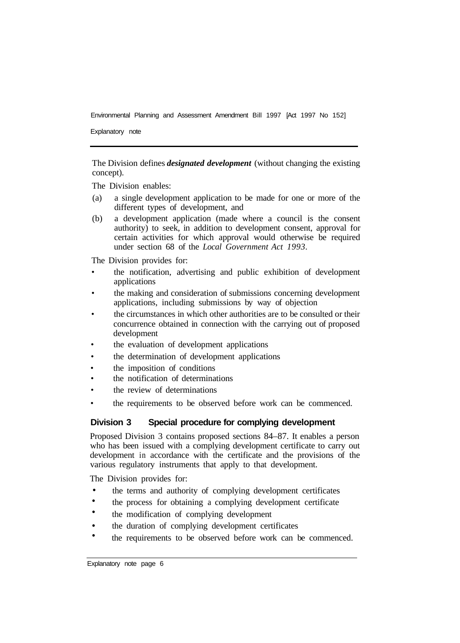Explanatory note

The Division defines *designated development* (without changing the existing concept).

The Division enables:

- (a) a single development application to be made for one or more of the different types of development, and
- (b) a development application (made where a council is the consent authority) to seek, in addition to development consent, approval for certain activities for which approval would otherwise be required under section 68 of the *Local Government Act 1993.*

The Division provides for:

- the notification, advertising and public exhibition of development applications
- the making and consideration of submissions concerning development applications, including submissions by way of objection
- the circumstances in which other authorities are to be consulted or their concurrence obtained in connection with the carrying out of proposed development
- the evaluation of development applications
- the determination of development applications
- the imposition of conditions
- the notification of determinations
- the review of determinations
- the requirements to be observed before work can be commenced.

#### **Division 3 Special procedure for complying development**

Proposed Division 3 contains proposed sections 84–87. It enables a person who has been issued with a complying development certificate to carry out development in accordance with the certificate and the provisions of the various regulatory instruments that apply to that development.

The Division provides for:

- the terms and authority of complying development certificates •
- the process for obtaining a complying development certificate •
- the modification of complying development •
- the duration of complying development certificates •
- the requirements to be observed before work can be commenced. •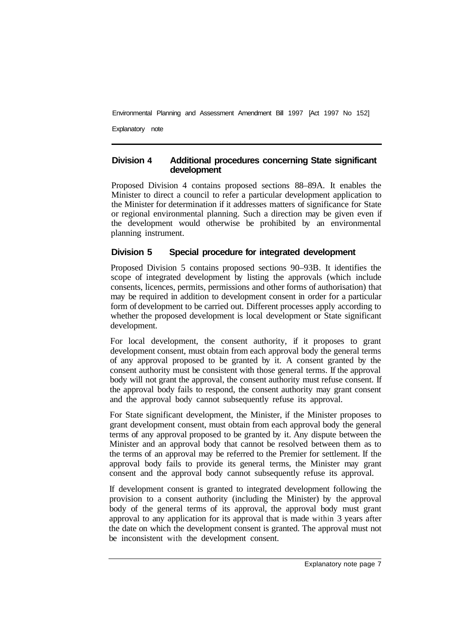Explanatory note

#### **Division 4 Additional procedures concerning State significant development**

Proposed Division 4 contains proposed sections 88–89A. It enables the Minister to direct a council to refer a particular development application to the Minister for determination if it addresses matters of significance for State or regional environmental planning. Such a direction may be given even if the development would otherwise be prohibited by an environmental planning instrument.

## **Division 5 Special procedure for integrated development**

Proposed Division 5 contains proposed sections 90–93B. It identifies the scope of integrated development by listing the approvals (which include consents, licences, permits, permissions and other forms of authorisation) that may be required in addition to development consent in order for a particular form of development to be carried out. Different processes apply according to whether the proposed development is local development or State significant development.

For local development, the consent authority, if it proposes to grant development consent, must obtain from each approval body the general terms of any approval proposed to be granted by it. A consent granted by the consent authority must be consistent with those general terms. If the approval body will not grant the approval, the consent authority must refuse consent. If the approval body fails to respond, the consent authority may grant consent and the approval body cannot subsequently refuse its approval.

For State significant development, the Minister, if the Minister proposes to grant development consent, must obtain from each approval body the general terms of any approval proposed to be granted by it. Any dispute between the Minister and an approval body that cannot be resolved between them as to the terms of an approval may be referred to the Premier for settlement. If the approval body fails to provide its general terms, the Minister may grant consent and the approval body cannot subsequently refuse its approval.

If development consent is granted to integrated development following the provision to a consent authority (including the Minister) by the approval body of the general terms of its approval, the approval body must grant approval to any application for its approval that is made within 3 years after the date on which the development consent is granted. The approval must not be inconsistent with the development consent.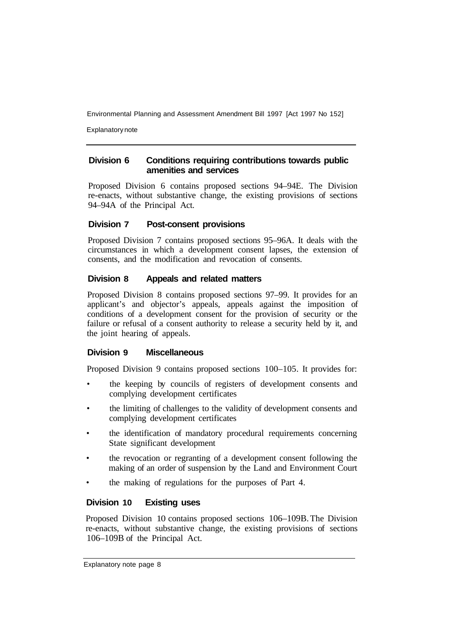Explanatory note

#### **Division 6 Conditions requiring contributions towards public amenities and services**

Proposed Division 6 contains proposed sections 94–94E. The Division re-enacts, without substantive change, the existing provisions of sections 94–94A of the Principal Act.

## **Division 7 Post-consent provisions**

Proposed Division 7 contains proposed sections 95–96A. It deals with the circumstances in which a development consent lapses, the extension of consents, and the modification and revocation of consents.

## **Division 8 Appeals and related matters**

Proposed Division 8 contains proposed sections 97–99. It provides for an applicant's and objector's appeals, appeals against the imposition of conditions of a development consent for the provision of security or the failure or refusal of a consent authority to release a security held by it, and the joint hearing of appeals.

#### **Division 9 Miscellaneous**

Proposed Division 9 contains proposed sections 100–105. It provides for:

- the keeping by councils of registers of development consents and complying development certificates
- the limiting of challenges to the validity of development consents and complying development certificates
- the identification of mandatory procedural requirements concerning State significant development
- the revocation or regranting of a development consent following the making of an order of suspension by the Land and Environment Court
- the making of regulations for the purposes of Part 4.

## **Division 10 Existing uses**

Proposed Division 10 contains proposed sections 106–109B. The Division re-enacts, without substantive change, the existing provisions of sections 106–109B of the Principal Act.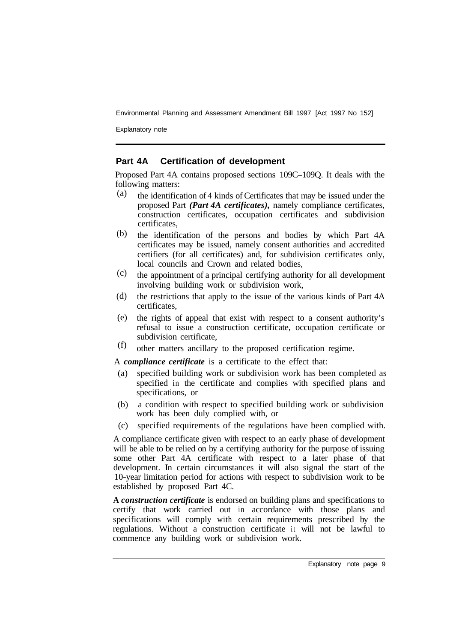Explanatory note

#### **Part 4A Certification of development**

Proposed Part 4A contains proposed sections 109C–109Q. It deals with the following matters:

- the identification of 4 kinds of Certificates that may be issued under the proposed Part *(Part 4A certificates),* namely compliance certificates, construction certificates, occupation certificates and subdivision certificates, (a)
- the identification of the persons and bodies by which Part 4A certificates may be issued, namely consent authorities and accredited certifiers (for all certificates) and, for subdivision certificates only, local councils and Crown and related bodies, (b)
- the appointment of a principal certifying authority for all development involving building work or subdivision work, (c)
- the restrictions that apply to the issue of the various kinds of Part 4A certificates, (d)
- the rights of appeal that exist with respect to a consent authority's refusal to issue a construction certificate, occupation certificate or subdivision certificate, (e)
- other matters ancillary to the proposed certification regime. (f)

A *compliance certificate* is a certificate to the effect that:

- (a) specified building work or subdivision work has been completed as specified in the certificate and complies with specified plans and specifications, or
- (b) a condition with respect to specified building work or subdivision work has been duly complied with, or
- (c) specified requirements of the regulations have been complied with.

A compliance certificate given with respect to an early phase of development will be able to be relied on by a certifying authority for the purpose of issuing some other Part 4A certificate with respect to a later phase of that development. In certain circumstances it will also signal the start of the 10-year limitation period for actions with respect to subdivision work to be established by proposed Part 4C.

**A** *construction certificate* is endorsed on building plans and specifications to certify that work carried out in accordance with those plans and specifications will comply with certain requirements prescribed by the regulations. Without a construction certificate it will not be lawful to commence any building work or subdivision work.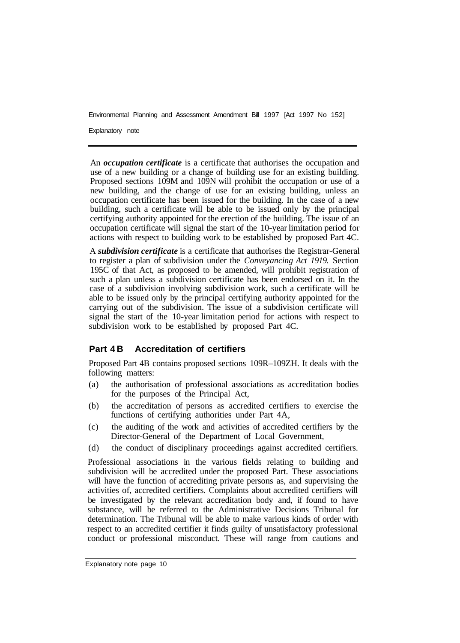Explanatory note

An *occupation certificate* is a certificate that authorises the occupation and use of a new building or a change of building use for an existing building. Proposed sections 109M and 109N will prohibit the occupation or use of a new building, and the change of use for an existing building, unless an occupation certificate has been issued for the building. In the case of a new building, such a certificate will be able to be issued only by the principal certifying authority appointed for the erection of the building. The issue of an occupation certificate will signal the start of the 10-year limitation period for actions with respect to building work to be established by proposed Part 4C.

A *subdivision certificate* is a certificate that authorises the Registrar-General to register a plan of subdivision under the *Conveyancing Act 1919.* Section 195C of that Act, as proposed to be amended, will prohibit registration of such a plan unless a subdivision certificate has been endorsed on it. In the case of a subdivision involving subdivision work, such a certificate will be able to be issued only by the principal certifying authority appointed for the carrying out of the subdivision. The issue of a subdivision certificate will signal the start of the 10-year limitation period for actions with respect to subdivision work to be established by proposed Part 4C.

## **Part 4B Accreditation of certifiers**

Proposed Part 4B contains proposed sections 109R–109ZH. It deals with the following matters:

- (a) the authorisation of professional associations as accreditation bodies for the purposes of the Principal Act,
- (b) the accreditation of persons as accredited certifiers to exercise the functions of certifying authorities under Part 4A,
- (c) the auditing of the work and activities of accredited certifiers by the Director-General of the Department of Local Government,
- (d) the conduct of disciplinary proceedings against accredited certifiers.

Professional associations in the various fields relating to building and subdivision will be accredited under the proposed Part. These associations will have the function of accrediting private persons as, and supervising the activities of, accredited certifiers. Complaints about accredited certifiers will be investigated by the relevant accreditation body and, if found to have substance, will be referred to the Administrative Decisions Tribunal for determination. The Tribunal will be able to make various kinds of order with respect to an accredited certifier it finds guilty of unsatisfactory professional conduct or professional misconduct. These will range from cautions and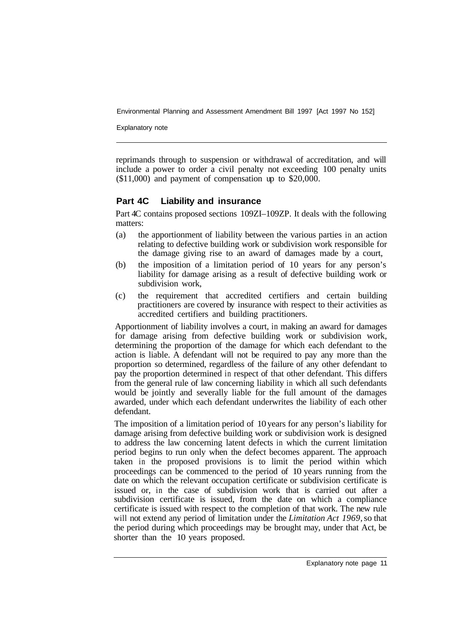Explanatory note

reprimands through to suspension or withdrawal of accreditation, and will include a power to order a civil penalty not exceeding 100 penalty units (\$11,000) and payment of compensation up to \$20,000.

#### **Part 4C Liability and insurance**

Part 4C contains proposed sections 109ZI–109ZP. It deals with the following matters:

- (a) the apportionment of liability between the various parties in an action relating to defective building work or subdivision work responsible for the damage giving rise to an award of damages made by a court,
- (b) the imposition of a limitation period of 10 years for any person's liability for damage arising as a result of defective building work or subdivision work,
- (c) the requirement that accredited certifiers and certain building practitioners are covered by insurance with respect to their activities as accredited certifiers and building practitioners.

Apportionment of liability involves a court, in making an award for damages for damage arising from defective building work or subdivision work, determining the proportion of the damage for which each defendant to the action is liable. A defendant will not be required to pay any more than the proportion so determined, regardless of the failure of any other defendant to pay the proportion determined in respect of that other defendant. This differs from the general rule of law concerning liability in which all such defendants would be jointly and severally liable for the full amount of the damages awarded, under which each defendant underwrites the liability of each other defendant.

The imposition of a limitation period of 10 years for any person's liability for damage arising from defective building work or subdivision work is designed to address the law concerning latent defects in which the current limitation period begins to run only when the defect becomes apparent. The approach taken in the proposed provisions is to limit the period within which proceedings can be commenced to the period of 10 years running from the date on which the relevant occupation certificate or subdivision certificate is issued or, in the case of subdivision work that is carried out after a subdivision certificate is issued, from the date on which a compliance certificate is issued with respect to the completion of that work. The new rule will not extend any period of limitation under the *Limitation Act 1969,* so that the period during which proceedings may be brought may, under that Act, be shorter than the 10 years proposed.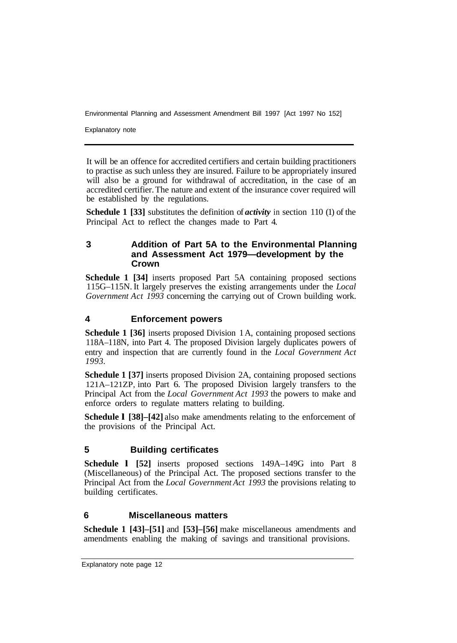Explanatory note

It will be an offence for accredited certifiers and certain building practitioners to practise as such unless they are insured. Failure to be appropriately insured will also be a ground for withdrawal of accreditation, in the case of an accredited certifier. The nature and extent of the insurance cover required will be established by the regulations.

**Schedule 1 [33]** substitutes the definition of *activity* in section 110 (1) of the Principal Act to reflect the changes made to Part 4.

### **3 Addition of Part 5A to the Environmental Planning and Assessment Act 1979—development by the Crown**

**Schedule 1 [34]** inserts proposed Part 5A containing proposed sections 115G–115N. It largely preserves the existing arrangements under the *Local Government Act 1993* concerning the carrying out of Crown building work.

## **4 Enforcement powers**

**Schedule 1 [36]** inserts proposed Division 1A, containing proposed sections 118A–118N, into Part 4. The proposed Division largely duplicates powers of entry and inspection that are currently found in the *Local Government Act 1993.* 

**Schedule 1 [37]** inserts proposed Division 2A, containing proposed sections 121A–121ZP, into Part 6. The proposed Division largely transfers to the Principal Act from the *Local Government Act 1993* the powers to make and enforce orders to regulate matters relating to building.

**Schedule l [38]–[42]** also make amendments relating to the enforcement of the provisions of the Principal Act.

## **5 Building certificates**

**Schedule l [52]** inserts proposed sections 149A–149G into Part 8 (Miscellaneous) of the Principal Act. The proposed sections transfer to the Principal Act from the *Local Government Act 1993* the provisions relating to building certificates.

## **6 Miscellaneous matters**

**Schedule 1 [43]–[51]** and **[53]–[56]** make miscellaneous amendments and amendments enabling the making of savings and transitional provisions.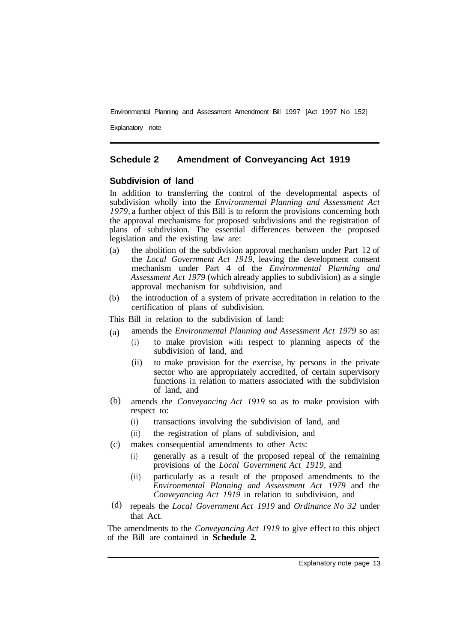Explanatory note

#### **Schedule 2 Amendment of Conveyancing Act 1919**

#### **Subdivision of land**

In addition to transferring the control of the developmental aspects of subdivision wholly into the *Environmental Planning and Assessment Act 1979,* a further object of this Bill is to reform the provisions concerning both the approval mechanisms for proposed subdivisions and the registration of plans of subdivision. The essential differences between the proposed legislation and the existing law are:

- (a) the abolition of the subdivision approval mechanism under Part 12 of the *Local Government Act 1919,* leaving the development consent mechanism under Part 4 of the *Environmental Planning and Assessment Act 1979* (which already applies to subdivision) as a single approval mechanism for subdivision, and
- (b) the introduction of a system of private accreditation in relation to the certification of plans of subdivision.

This Bill in relation to the subdivision of land:

- amends the *Environmental Planning and Assessment Act 1979* so as: (a)
	- (i) to make provision with respect to planning aspects of the subdivision of land, and
		- (ii) to make provision for the exercise, by persons in the private sector who are appropriately accredited, of certain supervisory functions in relation to matters associated with the subdivision of land, and
- amends the *Conveyancing Act 1919* so as to make provision with respect to: (b)
	- (i) transactions involving the subdivision of land, and
	- (ii) the registration of plans of subdivision, and
- makes consequential amendments to other Acts: (c)
	- (i) generally as a result of the proposed repeal of the remaining provisions of the *Local Government Act 1919,* and
	- (ii) particularly as a result of the proposed amendments to the *Environmental Planning and Assessment Act 1979* and the *Conveyancing Act 1919* in relation to subdivision, and
- repeals the *Local Government Act 1919* and *Ordinance No 32* under that Act. (d)

The amendments to the *Conveyancing Act 1919* to give effect to this object of the Bill are contained in **Schedule 2.**